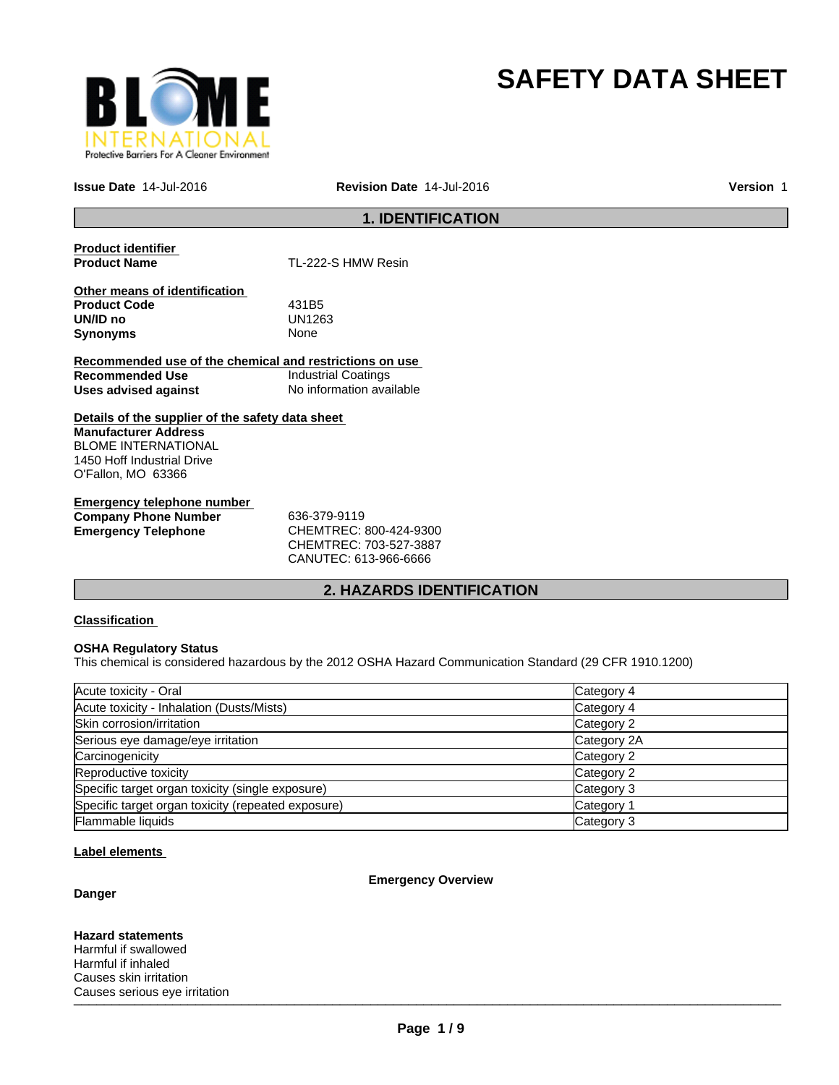

# **SAFETY DATA SHEET**

**Issue Date** 14-Jul-2016

**Revision Date** 14-Jul-2016 **Version** 1

# **1. IDENTIFICATION**

**Product identifier** 

**Product Name** TL-222-S HMW Resin

**Other means of identification Product Code** 431B5 **UN/ID no** UN12<br>**Synonyms** None **Synonyms** 

**Recommended use of the chemical and restrictions on use Recommended Use Industrial Coatings**<br> **Uses advised against Internation** No information available **Uses advised against** 

**Details of the supplier of the safety data sheet Manufacturer Address** BLOME INTERNATIONAL 1450 Hoff Industrial Drive O'Fallon, MO 63366

**Emergency telephone number Company Phone Number** 636-379-9119 **Emergency Telephone** CHEMTREC: 800-424-9300

CHEMTREC: 703-527-3887 CANUTEC: 613-966-6666

# **2. HAZARDS IDENTIFICATION**

#### **Classification**

#### **OSHA Regulatory Status**

This chemical is considered hazardous by the 2012 OSHA Hazard Communication Standard (29 CFR 1910.1200)

| Acute toxicity - Oral                              | Category 4  |
|----------------------------------------------------|-------------|
| Acute toxicity - Inhalation (Dusts/Mists)          | Category 4  |
| Skin corrosion/irritation                          | Category 2  |
| Serious eye damage/eye irritation                  | Category 2A |
| Carcinogenicity                                    | Category 2  |
| Reproductive toxicity                              | Category 2  |
| Specific target organ toxicity (single exposure)   | Category 3  |
| Specific target organ toxicity (repeated exposure) | Category 1  |
| Flammable liquids                                  | Category 3  |

#### **Label elements**

#### **Danger**

**Emergency Overview**

 $\blacksquare$ **Hazard statements** Harmful if swallowed Harmful if inhaled Causes skin irritation Causes serious eye irritation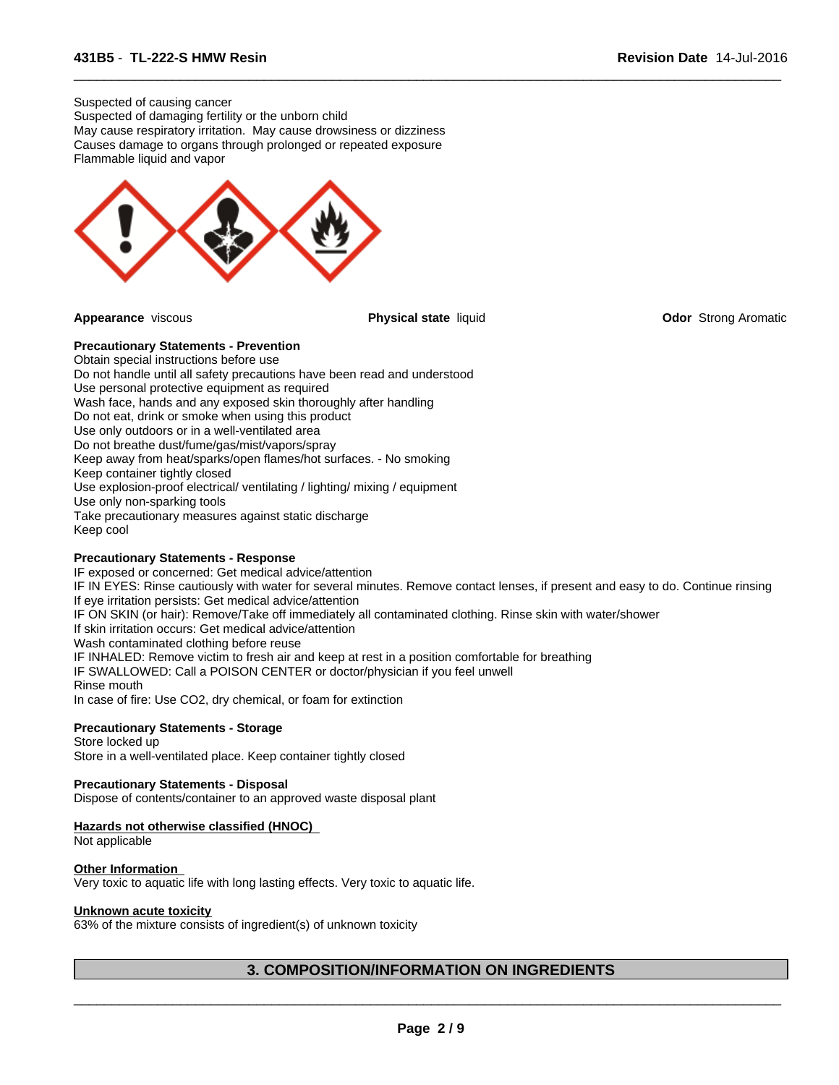Suspected of causing cancer Suspected of damaging fertility or the unborn child May cause respiratory irritation. May cause drowsiness or dizziness Causes damage to organs through prolonged or repeated exposure Flammable liquid and vapor



 $\overline{\phantom{a}}$  ,  $\overline{\phantom{a}}$  ,  $\overline{\phantom{a}}$  ,  $\overline{\phantom{a}}$  ,  $\overline{\phantom{a}}$  ,  $\overline{\phantom{a}}$  ,  $\overline{\phantom{a}}$  ,  $\overline{\phantom{a}}$  ,  $\overline{\phantom{a}}$  ,  $\overline{\phantom{a}}$  ,  $\overline{\phantom{a}}$  ,  $\overline{\phantom{a}}$  ,  $\overline{\phantom{a}}$  ,  $\overline{\phantom{a}}$  ,  $\overline{\phantom{a}}$  ,  $\overline{\phantom{a}}$ 

**Appearance** viscous **Physical state** liquid **Odor** Strong Aromatic

# **Precautionary Statements - Prevention**

Obtain special instructions before use Do not handle until all safety precautions have been read and understood Use personal protective equipment as required Wash face, hands and any exposed skin thoroughly after handling Do not eat, drink or smoke when using this product Use only outdoors or in a well-ventilated area Do not breathe dust/fume/gas/mist/vapors/spray Keep away from heat/sparks/open flames/hot surfaces. - No smoking Keep container tightly closed Use explosion-proof electrical/ ventilating / lighting/ mixing / equipment Use only non-sparking tools Take precautionary measures against static discharge Keep cool

#### **Precautionary Statements - Response**

IF exposed or concerned: Get medical advice/attention IF IN EYES: Rinse cautiously with water for several minutes. Remove contact lenses, if present and easy to do. Continue rinsing If eye irritation persists: Get medical advice/attention IF ON SKIN (or hair): Remove/Take off immediately all contaminated clothing. Rinse skin with water/shower If skin irritation occurs: Get medical advice/attention Wash contaminated clothing before reuse IF INHALED: Remove victim to fresh air and keep at rest in a position comfortable for breathing IF SWALLOWED: Call a POISON CENTER or doctor/physician if you feel unwell Rinse mouth In case of fire: Use CO2, dry chemical, or foam for extinction

#### **Precautionary Statements - Storage**

Store locked up Store in a well-ventilated place. Keep container tightly closed

#### **Precautionary Statements - Disposal**

Dispose of contents/container to an approved waste disposal plant

#### **Hazards not otherwise classified (HNOC)**

Not applicable

#### **Other Information**

Very toxic to aquatic life with long lasting effects. Very toxic to aquatic life.

#### **Unknown acute toxicity**

63% of the mixture consists of ingredient(s) of unknown toxicity

# **3. COMPOSITION/INFORMATION ON INGREDIENTS**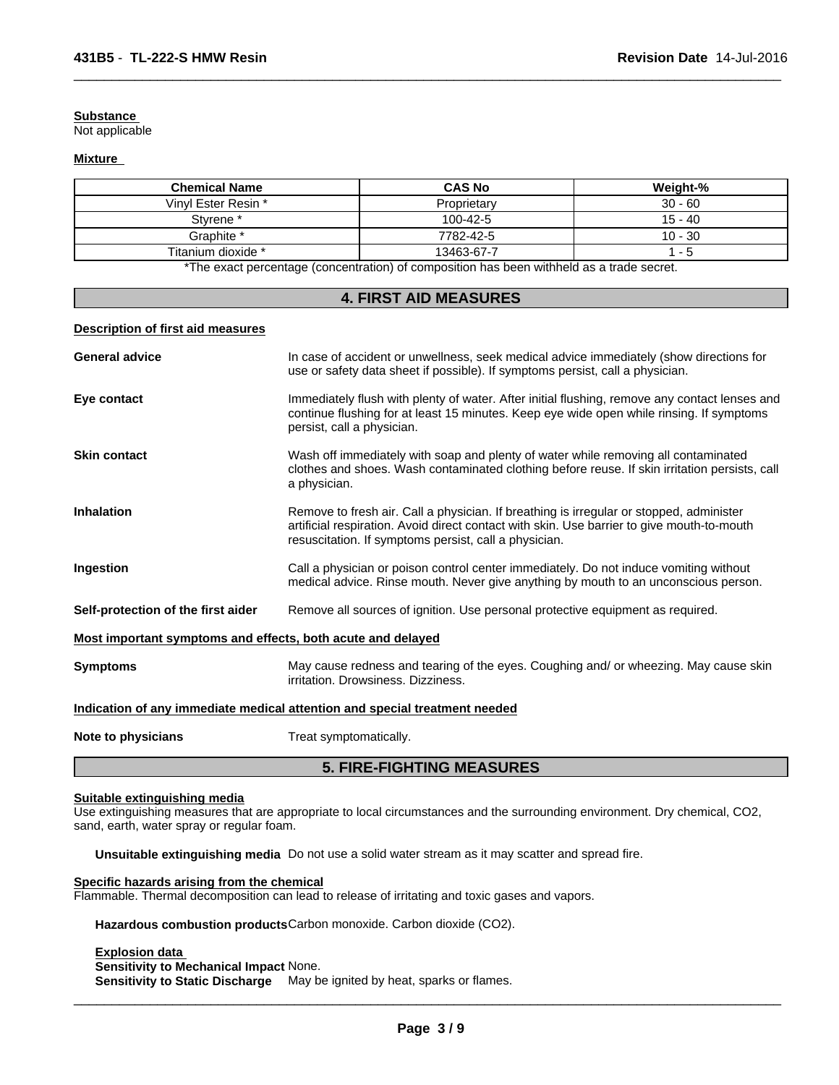#### **Substance**

Not applicable

#### **Mixture**

| <b>Chemical Name</b> | <b>CAS No</b>                                                                                                 | Weight-%  |
|----------------------|---------------------------------------------------------------------------------------------------------------|-----------|
| Vinyl Ester Resin *  | Proprietary                                                                                                   | $30 - 60$ |
| Styrene <sup>*</sup> | 100-42-5                                                                                                      | $15 - 40$ |
| Graphite *           | 7782-42-5                                                                                                     | $10 - 30$ |
| Titanium dioxide *   | 13463-67-7                                                                                                    | - 5       |
|                      | . ₩The concert a concertainty for a contaction) of contact this action to a contillated to a standard concert |           |

 $\overline{\phantom{a}}$  ,  $\overline{\phantom{a}}$  ,  $\overline{\phantom{a}}$  ,  $\overline{\phantom{a}}$  ,  $\overline{\phantom{a}}$  ,  $\overline{\phantom{a}}$  ,  $\overline{\phantom{a}}$  ,  $\overline{\phantom{a}}$  ,  $\overline{\phantom{a}}$  ,  $\overline{\phantom{a}}$  ,  $\overline{\phantom{a}}$  ,  $\overline{\phantom{a}}$  ,  $\overline{\phantom{a}}$  ,  $\overline{\phantom{a}}$  ,  $\overline{\phantom{a}}$  ,  $\overline{\phantom{a}}$ 

\*The exact percentage (concentration) of composition has been withheld as a trade secret.

#### **4. FIRST AID MEASURES**

#### **Description of first aid measures**

|                                                             | <b>5. FIRE-FIGHTING MEASURES</b>                                                                                                                                                                                                               |
|-------------------------------------------------------------|------------------------------------------------------------------------------------------------------------------------------------------------------------------------------------------------------------------------------------------------|
| Note to physicians                                          | Treat symptomatically.                                                                                                                                                                                                                         |
|                                                             | Indication of any immediate medical attention and special treatment needed                                                                                                                                                                     |
| <b>Symptoms</b>                                             | May cause redness and tearing of the eyes. Coughing and/ or wheezing. May cause skin<br>irritation. Drowsiness. Dizziness.                                                                                                                     |
| Most important symptoms and effects, both acute and delayed |                                                                                                                                                                                                                                                |
| Self-protection of the first aider                          | Remove all sources of ignition. Use personal protective equipment as required.                                                                                                                                                                 |
| Ingestion                                                   | Call a physician or poison control center immediately. Do not induce vomiting without<br>medical advice. Rinse mouth. Never give anything by mouth to an unconscious person.                                                                   |
| <b>Inhalation</b>                                           | Remove to fresh air. Call a physician. If breathing is irregular or stopped, administer<br>artificial respiration. Avoid direct contact with skin. Use barrier to give mouth-to-mouth<br>resuscitation. If symptoms persist, call a physician. |
| <b>Skin contact</b>                                         | Wash off immediately with soap and plenty of water while removing all contaminated<br>clothes and shoes. Wash contaminated clothing before reuse. If skin irritation persists, call<br>a physician.                                            |
| Eye contact                                                 | Immediately flush with plenty of water. After initial flushing, remove any contact lenses and<br>continue flushing for at least 15 minutes. Keep eye wide open while rinsing. If symptoms<br>persist, call a physician.                        |
| <b>General advice</b>                                       | In case of accident or unwellness, seek medical advice immediately (show directions for<br>use or safety data sheet if possible). If symptoms persist, call a physician.                                                                       |
|                                                             |                                                                                                                                                                                                                                                |

# **Suitable extinguishing media**

Use extinguishing measures that are appropriate to local circumstances and the surrounding environment. Dry chemical, CO2, sand, earth, water spray or regular foam.

**Unsuitable extinguishing media** Do not use a solid water stream as it may scatter and spread fire.

# **Specific hazards arising from the chemical**

Flammable. Thermal decomposition can lead to release of irritating and toxic gases and vapors.

**Hazardous combustion products**Carbon monoxide. Carbon dioxide (CO2).

**Explosion data** 

**Sensitivity to Mechanical Impact** None.

**Sensitivity to Static Discharge** May be ignited by heat, sparks or flames.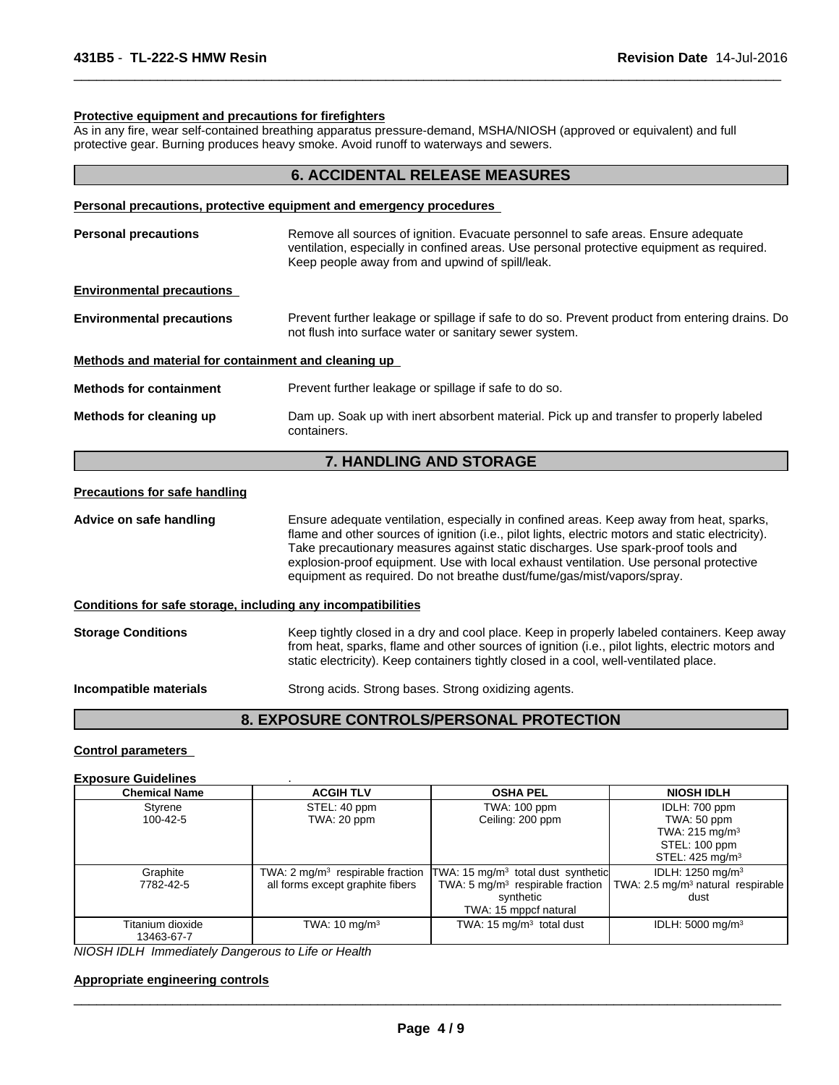#### **Protective equipment and precautions for firefighters**

As in any fire, wear self-contained breathing apparatus pressure-demand, MSHA/NIOSH (approved or equivalent) and full protective gear. Burning produces heavy smoke. Avoid runoff to waterways and sewers.

 $\overline{\phantom{a}}$  ,  $\overline{\phantom{a}}$  ,  $\overline{\phantom{a}}$  ,  $\overline{\phantom{a}}$  ,  $\overline{\phantom{a}}$  ,  $\overline{\phantom{a}}$  ,  $\overline{\phantom{a}}$  ,  $\overline{\phantom{a}}$  ,  $\overline{\phantom{a}}$  ,  $\overline{\phantom{a}}$  ,  $\overline{\phantom{a}}$  ,  $\overline{\phantom{a}}$  ,  $\overline{\phantom{a}}$  ,  $\overline{\phantom{a}}$  ,  $\overline{\phantom{a}}$  ,  $\overline{\phantom{a}}$ 

|                                                              | <b>6. ACCIDENTAL RELEASE MEASURES</b>                                                                                                                                                                                                                                                                                                                                                                                                                |
|--------------------------------------------------------------|------------------------------------------------------------------------------------------------------------------------------------------------------------------------------------------------------------------------------------------------------------------------------------------------------------------------------------------------------------------------------------------------------------------------------------------------------|
|                                                              | Personal precautions, protective equipment and emergency procedures                                                                                                                                                                                                                                                                                                                                                                                  |
| <b>Personal precautions</b>                                  | Remove all sources of ignition. Evacuate personnel to safe areas. Ensure adequate<br>ventilation, especially in confined areas. Use personal protective equipment as required.<br>Keep people away from and upwind of spill/leak.                                                                                                                                                                                                                    |
| <b>Environmental precautions</b>                             |                                                                                                                                                                                                                                                                                                                                                                                                                                                      |
| <b>Environmental precautions</b>                             | Prevent further leakage or spillage if safe to do so. Prevent product from entering drains. Do<br>not flush into surface water or sanitary sewer system.                                                                                                                                                                                                                                                                                             |
| Methods and material for containment and cleaning up         |                                                                                                                                                                                                                                                                                                                                                                                                                                                      |
| <b>Methods for containment</b>                               | Prevent further leakage or spillage if safe to do so.                                                                                                                                                                                                                                                                                                                                                                                                |
| Methods for cleaning up                                      | Dam up. Soak up with inert absorbent material. Pick up and transfer to properly labeled<br>containers.                                                                                                                                                                                                                                                                                                                                               |
|                                                              | 7. HANDLING AND STORAGE                                                                                                                                                                                                                                                                                                                                                                                                                              |
| <b>Precautions for safe handling</b>                         |                                                                                                                                                                                                                                                                                                                                                                                                                                                      |
| Advice on safe handling                                      | Ensure adequate ventilation, especially in confined areas. Keep away from heat, sparks,<br>flame and other sources of ignition (i.e., pilot lights, electric motors and static electricity).<br>Take precautionary measures against static discharges. Use spark-proof tools and<br>explosion-proof equipment. Use with local exhaust ventilation. Use personal protective<br>equipment as required. Do not breathe dust/fume/gas/mist/vapors/spray. |
| Conditions for safe storage, including any incompatibilities |                                                                                                                                                                                                                                                                                                                                                                                                                                                      |
| <b>Storage Conditions</b>                                    | Keep tightly closed in a dry and cool place. Keep in properly labeled containers. Keep away<br>from heat, sparks, flame and other sources of ignition (i.e., pilot lights, electric motors and<br>static electricity). Keep containers tightly closed in a cool, well-ventilated place.                                                                                                                                                              |
| Incompatible materials                                       | Strong acids. Strong bases. Strong oxidizing agents.                                                                                                                                                                                                                                                                                                                                                                                                 |
|                                                              | 8. EXPOSURE CONTROLS/PERSONAL PROTECTION                                                                                                                                                                                                                                                                                                                                                                                                             |

# **Control parameters**

# **Exposure Guidelines** .

| <b>Chemical Name</b> | <b>ACGIH TLV</b>                 | <b>OSHA PEL</b>                                                                            | <b>NIOSH IDLH</b>                                                                          |  |
|----------------------|----------------------------------|--------------------------------------------------------------------------------------------|--------------------------------------------------------------------------------------------|--|
| Styrene              | STEL: 40 ppm                     | TWA: 100 ppm                                                                               | IDLH: 700 ppm                                                                              |  |
| 100-42-5             | TWA: 20 ppm                      | Ceiling: 200 ppm                                                                           | TWA: 50 ppm                                                                                |  |
|                      |                                  |                                                                                            | TWA: $215 \text{ mg/m}^3$                                                                  |  |
|                      |                                  |                                                                                            | STEL: 100 ppm                                                                              |  |
|                      |                                  |                                                                                            | STEL: $425 \text{ mg/m}^3$                                                                 |  |
| Graphite             |                                  | TWA: $2 \text{ mg/m}^3$ respirable fraction TWA: 15 mg/m <sup>3</sup> total dust synthetic | IDLH: 1250 mg/m <sup>3</sup>                                                               |  |
| 7782-42-5            | all forms except graphite fibers |                                                                                            | TWA: 5 mg/m <sup>3</sup> respirable fraction TWA: 2.5 mg/m <sup>3</sup> natural respirable |  |
|                      |                                  | synthetic                                                                                  | dust                                                                                       |  |
|                      |                                  | TWA: 15 mppcf natural                                                                      |                                                                                            |  |
| Titanium dioxide     | TWA: $10 \text{ mg/m}^3$         | TWA: $15 \text{ mg/m}^3$ total dust                                                        | IDLH: $5000 \text{ mg/m}^3$                                                                |  |
| 13463-67-7           |                                  |                                                                                            |                                                                                            |  |

*NIOSH IDLH Immediately Dangerous to Life or Health*

#### **Appropriate engineering controls**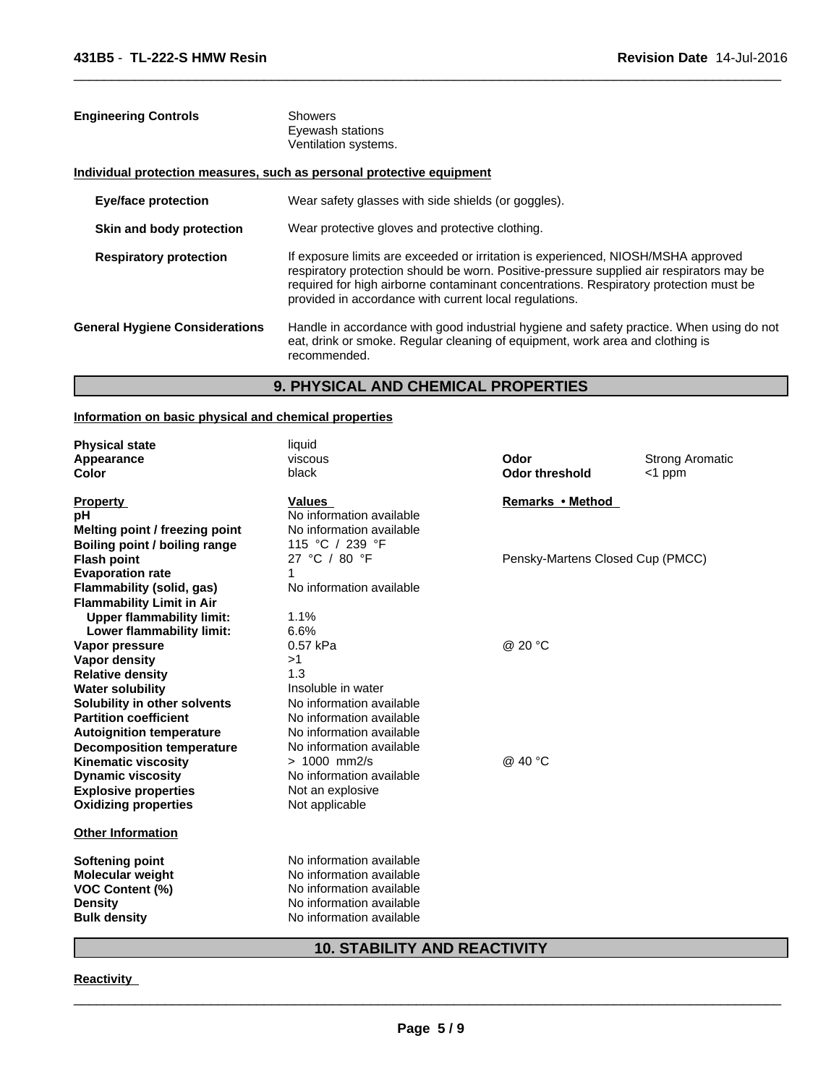| <b>Engineering Controls</b>           | <b>Showers</b><br>Eyewash stations<br>Ventilation systems.                                                                                                                                                                                                                                                                       |
|---------------------------------------|----------------------------------------------------------------------------------------------------------------------------------------------------------------------------------------------------------------------------------------------------------------------------------------------------------------------------------|
|                                       | Individual protection measures, such as personal protective equipment                                                                                                                                                                                                                                                            |
| Eye/face protection                   | Wear safety glasses with side shields (or goggles).                                                                                                                                                                                                                                                                              |
| Skin and body protection              | Wear protective gloves and protective clothing.                                                                                                                                                                                                                                                                                  |
| <b>Respiratory protection</b>         | If exposure limits are exceeded or irritation is experienced, NIOSH/MSHA approved<br>respiratory protection should be worn. Positive-pressure supplied air respirators may be<br>required for high airborne contaminant concentrations. Respiratory protection must be<br>provided in accordance with current local regulations. |
| <b>General Hygiene Considerations</b> | Handle in accordance with good industrial hygiene and safety practice. When using do not<br>eat, drink or smoke. Regular cleaning of equipment, work area and clothing is<br>recommended.                                                                                                                                        |

 $\overline{\phantom{a}}$  ,  $\overline{\phantom{a}}$  ,  $\overline{\phantom{a}}$  ,  $\overline{\phantom{a}}$  ,  $\overline{\phantom{a}}$  ,  $\overline{\phantom{a}}$  ,  $\overline{\phantom{a}}$  ,  $\overline{\phantom{a}}$  ,  $\overline{\phantom{a}}$  ,  $\overline{\phantom{a}}$  ,  $\overline{\phantom{a}}$  ,  $\overline{\phantom{a}}$  ,  $\overline{\phantom{a}}$  ,  $\overline{\phantom{a}}$  ,  $\overline{\phantom{a}}$  ,  $\overline{\phantom{a}}$ 

# **9. PHYSICAL AND CHEMICAL PROPERTIES**

## **Information on basic physical and chemical properties**

| <b>Physical state</b>            | liquid                   |                                  |                        |
|----------------------------------|--------------------------|----------------------------------|------------------------|
| Appearance                       | viscous                  | Odor                             | <b>Strong Aromatic</b> |
| <b>Color</b>                     | black                    | <b>Odor threshold</b>            | $<$ 1 ppm              |
| <b>Property</b>                  | <b>Values</b>            | Remarks • Method                 |                        |
| рH                               | No information available |                                  |                        |
| Melting point / freezing point   | No information available |                                  |                        |
| Boiling point / boiling range    | 115 °C / 239 °F          |                                  |                        |
| <b>Flash point</b>               | 27 °C / 80 °F            | Pensky-Martens Closed Cup (PMCC) |                        |
| <b>Evaporation rate</b>          | 1                        |                                  |                        |
| Flammability (solid, gas)        | No information available |                                  |                        |
| <b>Flammability Limit in Air</b> |                          |                                  |                        |
| <b>Upper flammability limit:</b> | 1.1%                     |                                  |                        |
| Lower flammability limit:        | 6.6%                     |                                  |                        |
| Vapor pressure                   | 0.57 kPa                 | @ 20 °C                          |                        |
| Vapor density                    | >1                       |                                  |                        |
| <b>Relative density</b>          | 1.3                      |                                  |                        |
| <b>Water solubility</b>          | Insoluble in water       |                                  |                        |
| Solubility in other solvents     | No information available |                                  |                        |
| <b>Partition coefficient</b>     | No information available |                                  |                        |
| <b>Autoignition temperature</b>  | No information available |                                  |                        |
| <b>Decomposition temperature</b> | No information available |                                  |                        |
| <b>Kinematic viscosity</b>       | $> 1000$ mm2/s           | @ 40 °C                          |                        |
| <b>Dynamic viscosity</b>         | No information available |                                  |                        |
| <b>Explosive properties</b>      | Not an explosive         |                                  |                        |
| <b>Oxidizing properties</b>      | Not applicable           |                                  |                        |
| <b>Other Information</b>         |                          |                                  |                        |
| <b>Softening point</b>           | No information available |                                  |                        |
| <b>Molecular weight</b>          | No information available |                                  |                        |
| <b>VOC Content (%)</b>           | No information available |                                  |                        |
| <b>Density</b>                   | No information available |                                  |                        |
| <b>Bulk density</b>              | No information available |                                  |                        |
|                                  |                          |                                  |                        |

# **10. STABILITY AND REACTIVITY**

#### **Reactivity**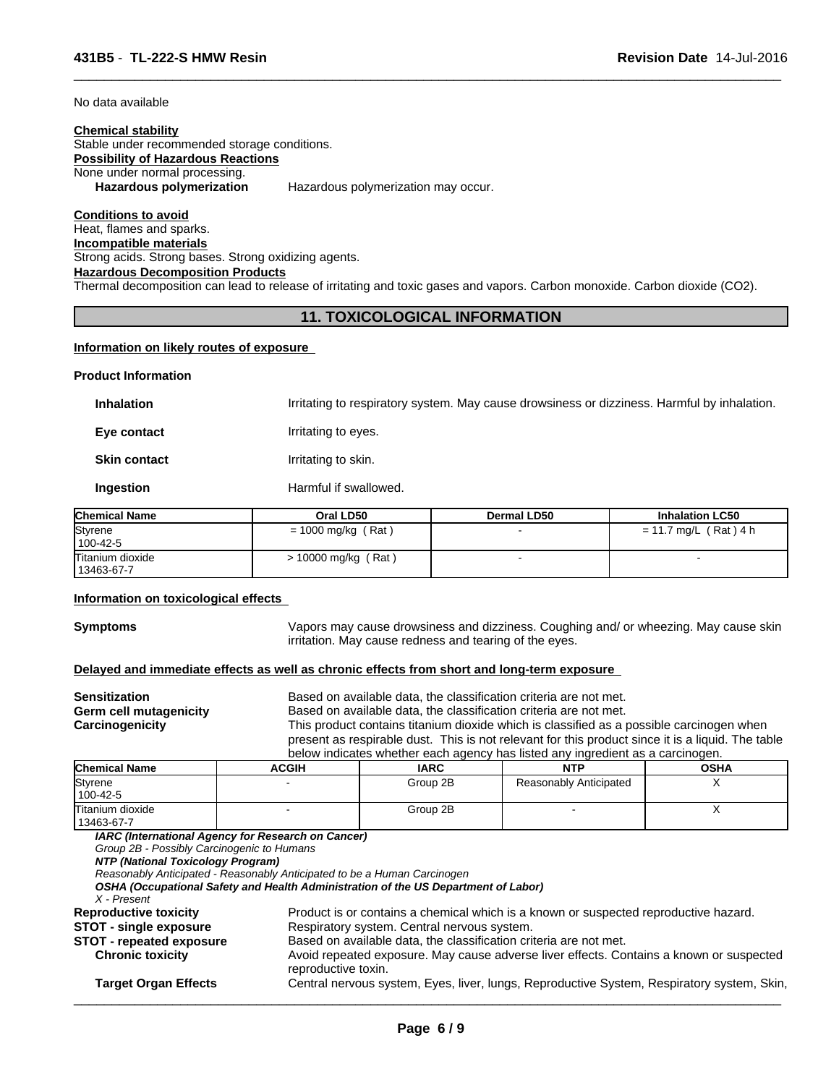No data available

#### **Chemical stability** Stable under recommended storage conditions. **Possibility of Hazardous Reactions** None under normal processing. **Hazardous polymerization** Hazardous polymerization may occur.

**Conditions to avoid** Heat, flames and sparks. **Incompatible materials** Strong acids. Strong bases. Strong oxidizing agents. **Hazardous Decomposition Products** Thermal decomposition can lead to release of irritating and toxic gases and vapors. Carbon monoxide. Carbon dioxide (CO2).

## **11. TOXICOLOGICAL INFORMATION**

 $\overline{\phantom{a}}$  ,  $\overline{\phantom{a}}$  ,  $\overline{\phantom{a}}$  ,  $\overline{\phantom{a}}$  ,  $\overline{\phantom{a}}$  ,  $\overline{\phantom{a}}$  ,  $\overline{\phantom{a}}$  ,  $\overline{\phantom{a}}$  ,  $\overline{\phantom{a}}$  ,  $\overline{\phantom{a}}$  ,  $\overline{\phantom{a}}$  ,  $\overline{\phantom{a}}$  ,  $\overline{\phantom{a}}$  ,  $\overline{\phantom{a}}$  ,  $\overline{\phantom{a}}$  ,  $\overline{\phantom{a}}$ 

#### **Information on likely routes of exposure**

#### **Product Information**

**Inhalation** Irritating to respiratory system. May cause drowsiness or dizziness. Harmful by inhalation. **Eye contact I**rritating to eyes. **Skin contact Irritating to skin. Ingestion** Harmful if swallowed.

| <b>Chemical Name</b> | Oral LD50            | Dermal LD50 | <b>Inhalation LC50</b> |
|----------------------|----------------------|-------------|------------------------|
| Styrene              | $= 1000$ mg/kg (Rat) |             | = 11.7 mg/L (Rat) 4 h  |
| 100-42-5             |                      |             |                        |
| Titanium dioxide     | > 10000 mg/kg (Rat)  |             |                        |
| 13463-67-7           |                      |             |                        |

#### **Information on toxicological effects**

**Symptoms** Vapors may cause drowsiness and dizziness. Coughing and/ or wheezing. May cause skin irritation. May cause redness and tearing of the eyes.

#### **Delayed and immediate effects as well as chronic effects from short and long-term exposure**

| <b>Sensitization</b>   |              | Based on available data, the classification criteria are not met.                                 |                                                                                |             |  |  |  |
|------------------------|--------------|---------------------------------------------------------------------------------------------------|--------------------------------------------------------------------------------|-------------|--|--|--|
| Germ cell mutagenicity |              | Based on available data, the classification criteria are not met.                                 |                                                                                |             |  |  |  |
| Carcinogenicity        |              | This product contains titanium dioxide which is classified as a possible carcinogen when          |                                                                                |             |  |  |  |
|                        |              | present as respirable dust. This is not relevant for this product since it is a liquid. The table |                                                                                |             |  |  |  |
|                        |              |                                                                                                   | below indicates whether each agency has listed any ingredient as a carcinogen. |             |  |  |  |
| <b>Chemical Name</b>   | <b>ACGIH</b> | <b>IARC</b>                                                                                       | <b>NTP</b>                                                                     | <b>OSHA</b> |  |  |  |

| <b>Chemical Name</b>           | ACGIH | IARC     | NTP                    | OSHA |
|--------------------------------|-------|----------|------------------------|------|
| Styrene                        |       | Group 2B | Reasonably Anticipated |      |
| 100-42-5                       |       |          |                        |      |
| Titanium dioxide<br>13463-67-7 |       | Group 2B |                        |      |

*IARC (International Agency for Research on Cancer)*

*Group 2B - Possibly Carcinogenic to Humans*

*NTP (National Toxicology Program)*

*Reasonably Anticipated - Reasonably Anticipated to be a Human Carcinogen*

*OSHA (Occupational Safety and Health Administration of the US Department of Labor)*

*X - Present*

| city |  | Product is or contains a chemical which is a known or suspected reproductive hazard. |  |  |
|------|--|--------------------------------------------------------------------------------------|--|--|
|      |  |                                                                                      |  |  |

**Reproductive toxicity<br><b>STOT** - single exposure Respiratory system. Central nervous system. **STOT - repeate** 

| Based on available data, the classification criteria are not met. |
|-------------------------------------------------------------------|
|                                                                   |

**Chronic toxicity** Avoid repeated exposure. May cause adverse liver effects. Contains a known or suspected reproductive toxin.

**Target Organ Effects** Central nervous system, Eyes, liver, lungs, Reproductive System, Respiratory system, Skin,  $\overline{\phantom{a}}$  ,  $\overline{\phantom{a}}$  ,  $\overline{\phantom{a}}$  ,  $\overline{\phantom{a}}$  ,  $\overline{\phantom{a}}$  ,  $\overline{\phantom{a}}$  ,  $\overline{\phantom{a}}$  ,  $\overline{\phantom{a}}$  ,  $\overline{\phantom{a}}$  ,  $\overline{\phantom{a}}$  ,  $\overline{\phantom{a}}$  ,  $\overline{\phantom{a}}$  ,  $\overline{\phantom{a}}$  ,  $\overline{\phantom{a}}$  ,  $\overline{\phantom{a}}$  ,  $\overline{\phantom{a}}$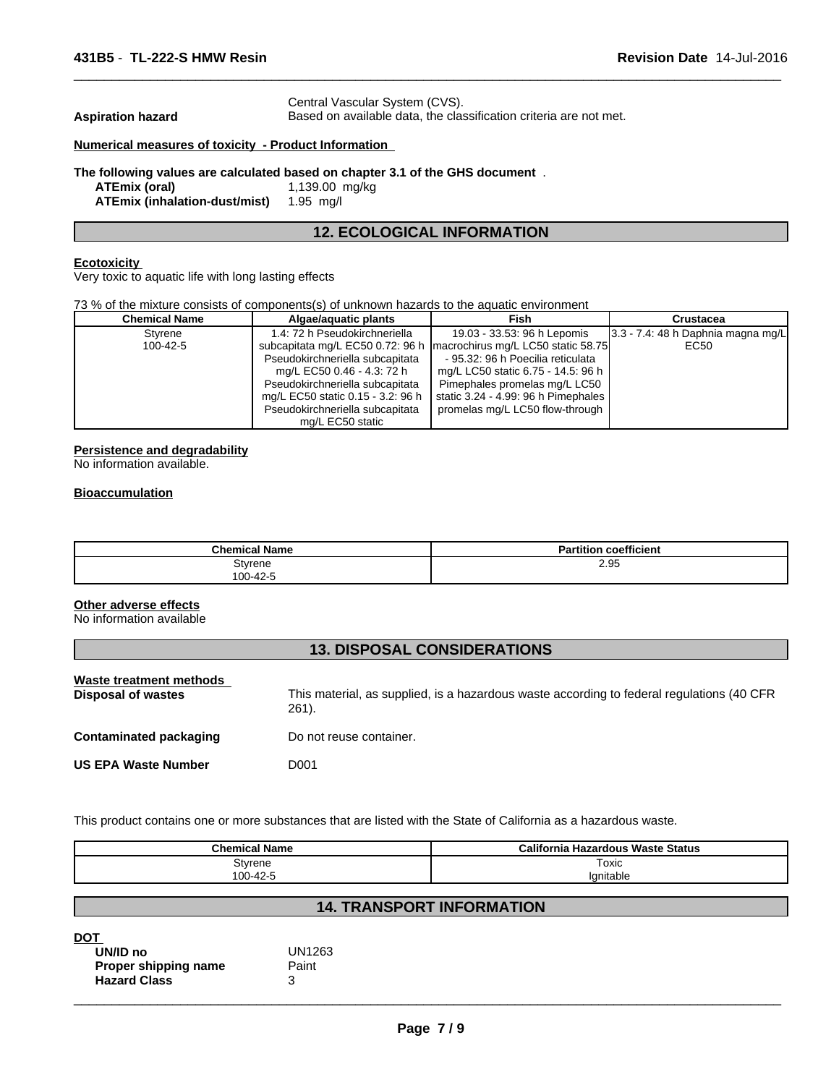Central Vascular System (CVS).

Aspiration hazard **Based on available data, the classification criteria are not met.** 

 $\overline{\phantom{a}}$  ,  $\overline{\phantom{a}}$  ,  $\overline{\phantom{a}}$  ,  $\overline{\phantom{a}}$  ,  $\overline{\phantom{a}}$  ,  $\overline{\phantom{a}}$  ,  $\overline{\phantom{a}}$  ,  $\overline{\phantom{a}}$  ,  $\overline{\phantom{a}}$  ,  $\overline{\phantom{a}}$  ,  $\overline{\phantom{a}}$  ,  $\overline{\phantom{a}}$  ,  $\overline{\phantom{a}}$  ,  $\overline{\phantom{a}}$  ,  $\overline{\phantom{a}}$  ,  $\overline{\phantom{a}}$ 

#### **Numerical measures of toxicity - Product Information**

#### **The following values are calculated based on chapter 3.1 of the GHS document** .

**ATEmix (oral)** 1,139.00 mg/kg **ATEmix (inhalation-dust/mist)** 1.95 mg/l

## **12. ECOLOGICAL INFORMATION**

#### **Ecotoxicity**

Very toxic to aquatic life with long lasting effects

73 % of the mixture consists of components(s) of unknown hazards to the aquatic environment

| <b>Chemical Name</b> | Algae/aguatic plants              | Fish                                                                  | Crustacea                             |
|----------------------|-----------------------------------|-----------------------------------------------------------------------|---------------------------------------|
| Styrene              | 1.4: 72 h Pseudokirchneriella     | 19.03 - 33.53: 96 h Lepomis                                           | $3.3 - 7.4$ : 48 h Daphnia magna mg/L |
| 100-42-5             |                                   | subcapitata mg/L EC50 0.72: 96 h   macrochirus mg/L LC50 static 58.75 | EC50                                  |
|                      | Pseudokirchneriella subcapitata   | - 95.32: 96 h Poecilia reticulata                                     |                                       |
|                      | mg/L EC50 0.46 - 4.3: 72 h        | mg/L LC50 static 6.75 - 14.5: 96 h                                    |                                       |
|                      | Pseudokirchneriella subcapitata   | Pimephales promelas mg/L LC50                                         |                                       |
|                      | mg/L EC50 static 0.15 - 3.2: 96 h | static 3.24 - 4.99: 96 h Pimephales                                   |                                       |
|                      | Pseudokirchneriella subcapitata   | promelas mg/L LC50 flow-through                                       |                                       |
|                      | mg/L EC50 static                  |                                                                       |                                       |

#### **Persistence and degradability**

No information available.

#### **Bioaccumulation**

| <b>Chemical Name</b> | coefficient<br>.<br><b>Partition</b> |
|----------------------|--------------------------------------|
| Styrene              | 2.95                                 |
| 100-42-5             |                                      |

#### **Other adverse effects**

No information available

#### **13. DISPOSAL CONSIDERATIONS**

| Waste treatment methods<br>Disposal of wastes | This material, as supplied, is a hazardous waste according to federal regulations (40 CFR<br>261). |
|-----------------------------------------------|----------------------------------------------------------------------------------------------------|
| <b>Contaminated packaging</b>                 | Do not reuse container.                                                                            |
| <b>US EPA Waste Number</b>                    | D001                                                                                               |
|                                               |                                                                                                    |

This product contains one or more substances that are listed with the State of California as a hazardous waste.

| <b>Chemical Name</b>                  | California<br>a Hazardous Waste Status |
|---------------------------------------|----------------------------------------|
| Styrene                               | Toxic                                  |
| $,0 - 42 - F$<br>n <sub>0</sub><br>vv | 'ኅnitable                              |

# **14. TRANSPORT INFORMATION**

| UN/ID no             | UN1263 |
|----------------------|--------|
| Proper shipping name | Paint  |
| <b>Hazard Class</b>  |        |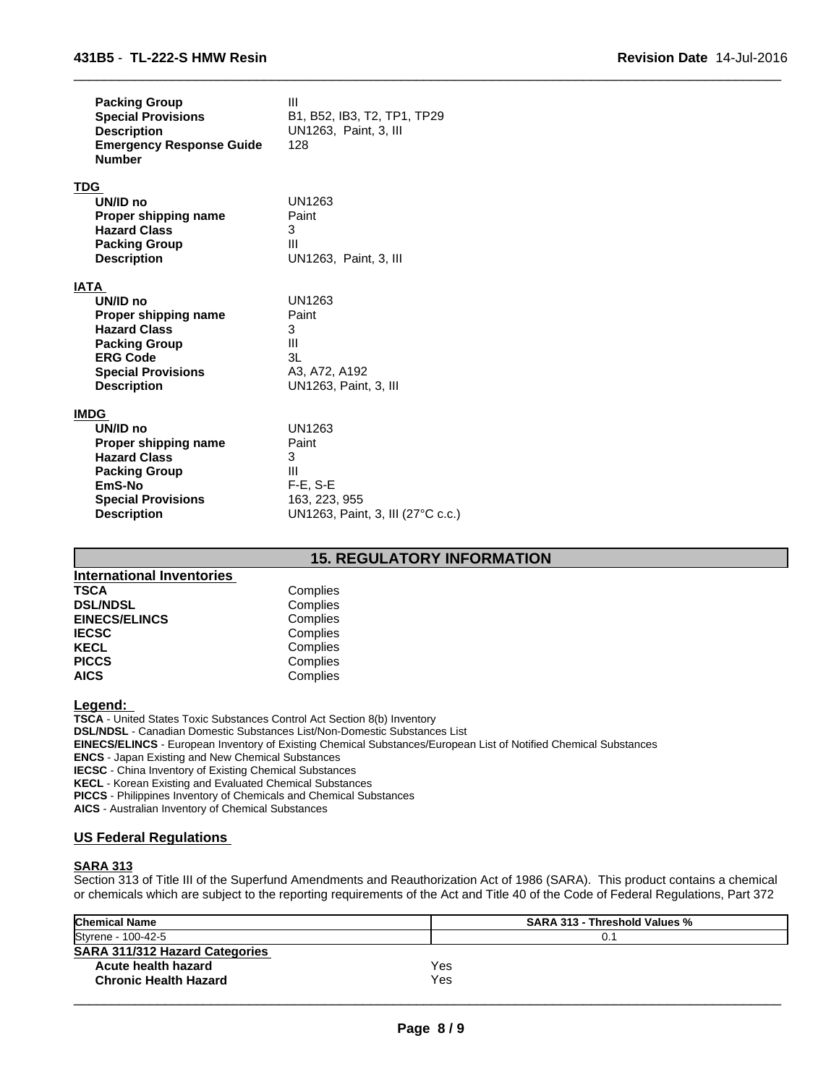| <b>Packing Group</b><br><b>Special Provisions</b><br><b>Description</b><br><b>Emergency Response Guide</b><br><b>Number</b> | Ш<br>B1, B52, IB3, T2, TP1, TP29<br>UN1263, Paint, 3, III<br>128 |
|-----------------------------------------------------------------------------------------------------------------------------|------------------------------------------------------------------|
| TDG                                                                                                                         |                                                                  |
| UN/ID no                                                                                                                    | UN1263                                                           |
| Proper shipping name                                                                                                        | Paint                                                            |
| <b>Hazard Class</b>                                                                                                         | 3                                                                |
| <b>Packing Group</b>                                                                                                        | Ш                                                                |
| <b>Description</b>                                                                                                          | UN1263, Paint, 3, III                                            |
|                                                                                                                             |                                                                  |
| IATA                                                                                                                        |                                                                  |
| UN/ID no                                                                                                                    | UN1263                                                           |
| Proper shipping name                                                                                                        | Paint                                                            |
| <b>Hazard Class</b>                                                                                                         | 3                                                                |
| <b>Packing Group</b>                                                                                                        | III                                                              |
| <b>ERG Code</b>                                                                                                             | 3L                                                               |
| <b>Special Provisions</b>                                                                                                   | A3, A72, A192                                                    |
| <b>Description</b>                                                                                                          | UN1263, Paint, 3, III                                            |
| <b>IMDG</b>                                                                                                                 |                                                                  |
| UN/ID no                                                                                                                    | UN1263                                                           |
| Proper shipping name                                                                                                        | Paint                                                            |
| <b>Hazard Class</b>                                                                                                         | 3                                                                |
| <b>Packing Group</b>                                                                                                        | Ш                                                                |
| EmS-No                                                                                                                      | $F-E. S-E$                                                       |
| <b>Special Provisions</b>                                                                                                   | 163, 223, 955                                                    |
| <b>Description</b>                                                                                                          | UN1263, Paint, 3, III (27°C c.c.)                                |

# **15. REGULATORY INFORMATION**

 $\overline{\phantom{a}}$  ,  $\overline{\phantom{a}}$  ,  $\overline{\phantom{a}}$  ,  $\overline{\phantom{a}}$  ,  $\overline{\phantom{a}}$  ,  $\overline{\phantom{a}}$  ,  $\overline{\phantom{a}}$  ,  $\overline{\phantom{a}}$  ,  $\overline{\phantom{a}}$  ,  $\overline{\phantom{a}}$  ,  $\overline{\phantom{a}}$  ,  $\overline{\phantom{a}}$  ,  $\overline{\phantom{a}}$  ,  $\overline{\phantom{a}}$  ,  $\overline{\phantom{a}}$  ,  $\overline{\phantom{a}}$ 

| <b>International Inventories</b> |          |  |
|----------------------------------|----------|--|
| <b>TSCA</b>                      | Complies |  |
| <b>DSL/NDSL</b>                  | Complies |  |
| <b>EINECS/ELINCS</b>             | Complies |  |
| <b>IECSC</b>                     | Complies |  |
| <b>KECL</b>                      | Complies |  |
| <b>PICCS</b>                     | Complies |  |
| <b>AICS</b>                      | Complies |  |

**Legend:** 

**TSCA** - United States Toxic Substances Control Act Section 8(b) Inventory

**DSL/NDSL** - Canadian Domestic Substances List/Non-Domestic Substances List

**EINECS/ELINCS** - European Inventory of Existing Chemical Substances/European List of Notified Chemical Substances

**ENCS** - Japan Existing and New Chemical Substances

**IECSC** - China Inventory of Existing Chemical Substances

**KECL** - Korean Existing and Evaluated Chemical Substances

**PICCS** - Philippines Inventory of Chemicals and Chemical Substances

**AICS** - Australian Inventory of Chemical Substances

#### **US Federal Regulations**

#### **SARA 313**

Section 313 of Title III of the Superfund Amendments and Reauthorization Act of 1986 (SARA). This product contains a chemical or chemicals which are subject to the reporting requirements of the Act and Title 40 of the Code of Federal Regulations, Part 372

| <b>Chemical Name</b>           |     | <b>SARA 313 - Threshold Values %</b> |  |
|--------------------------------|-----|--------------------------------------|--|
| Styrene - 100-42-5             |     |                                      |  |
| SARA 311/312 Hazard Categories |     |                                      |  |
| Acute health hazard            | Yes |                                      |  |
| <b>Chronic Health Hazard</b>   | Yes |                                      |  |
|                                |     |                                      |  |